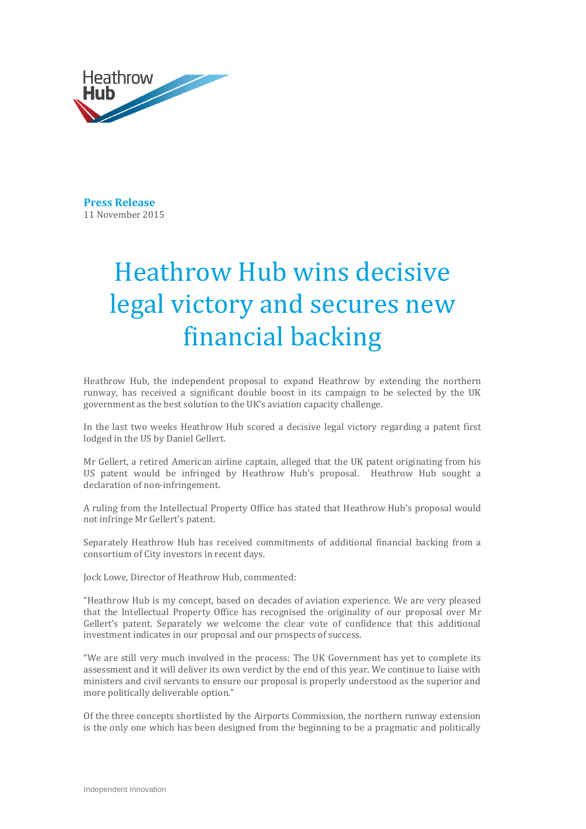

**Press Release**  11 November 2015

## Heathrow Hub wins decisive legal victory and secures new financial backing

Heathrow Hub, the independent proposal to expand Heathrow by extending the northern runway, has received a significant double boost in its campaign to be selected by the UK government as the best solution to the UK's aviation capacity challenge.

In the last two weeks Heathrow Hub scored a decisive legal victory regarding a patent first lodged in the US by Daniel Gellert.

Mr Gellert, a retired American airline captain, alleged that the UK patent originating from his US patent would be infringed by Heathrow Hub's proposal. Heathrow Hub sought a declaration of non-infringement.

A ruling from the Intellectual Property Office has stated that Heathrow Hub's proposal would not infringe Mr Gellert's patent.

Separately Heathrow Hub has received commitments of additional financial backing from a consortium of City investors in recent days.

Jock Lowe, Director of Heathrow Hub, commented:

"Heathrow Hub is my concept, based on decades of aviation experience. We are very pleased that the Intellectual Property Office has recognised the originality of our proposal over Mr Gellert's patent. Separately we welcome the clear vote of confidence that this additional investment indicates in our proposal and our prospects of success.

"We are still very much involved in the process: The UK Government has yet to complete its assessment and it will deliver its own verdict by the end of this year. We continue to liaise with ministers and civil servants to ensure our proposal is properly understood as the superior and more politically deliverable option."

Of the three concepts shortlisted by the Airports Commission, the northern runway extension is the only one which has been designed from the beginning to be a pragmatic and politically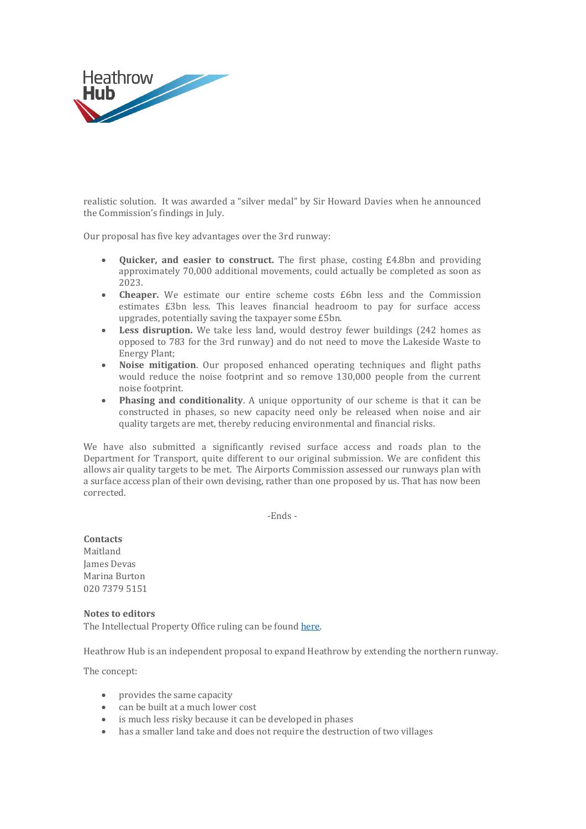

realistic solution. It was awarded a "silver medal" by Sir Howard Davies when he announced the Commission's findings in July.

Our proposal has five key advantages over the 3rd runway:

- **Quicker, and easier to construct.** The first phase, costing £4.8bn and providing approximately 70,000 additional movements, could actually be completed as soon as 2023.
- **Cheaper.** We estimate our entire scheme costs £6bn less and the Commission estimates £3bn less. This leaves financial headroom to pay for surface access upgrades, potentially saving the taxpayer some £5bn.
- Less disruption. We take less land, would destroy fewer buildings (242 homes as opposed to 783 for the 3rd runway) and do not need to move the Lakeside Waste to Energy Plant;
- **Noise mitigation**. Our proposed enhanced operating techniques and flight paths would reduce the noise footprint and so remove 130,000 people from the current noise footprint.
- **Phasing and conditionality**. A unique opportunity of our scheme is that it can be constructed in phases, so new capacity need only be released when noise and air quality targets are met, thereby reducing environmental and financial risks.

We have also submitted a significantly revised surface access and roads plan to the Department for Transport, quite different to our original submission. We are confident this allows air quality targets to be met. The Airports Commission assessed our runways plan with a surface access plan of their own devising, rather than one proposed by us. That has now been corrected.

-Ends -

**Contacts** Maitland James Devas Marina Burton 020 7379 5151

**Notes to editors** The Intellectual Property Office ruling can be found [here.](https://www.ipo.gov.uk/p-challenge-decision-results/p-challenge-decision-results-bl.htm?BL_Number=blo50915&submit=Go+%BB)

Heathrow Hub is an independent proposal to expand Heathrow by extending the northern runway.

The concept:

- provides the same capacity
- can be built at a much lower cost
- is much less risky because it can be developed in phases
- has a smaller land take and does not require the destruction of two villages